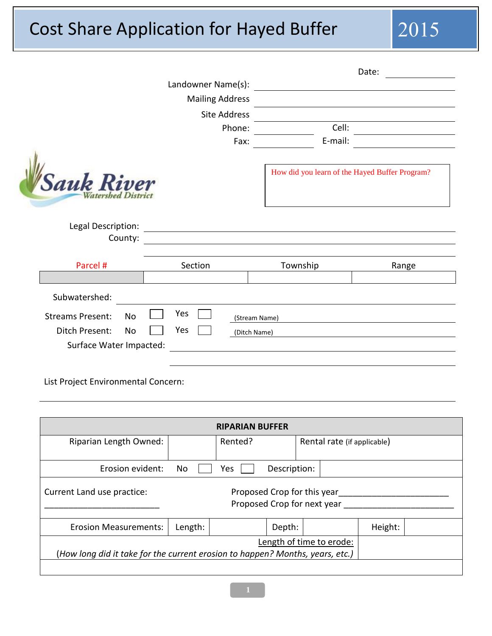## Cost Share Application for Hayed Buffer 2015

|                                     |                        |                                                                                                                 | Date:   |
|-------------------------------------|------------------------|-----------------------------------------------------------------------------------------------------------------|---------|
|                                     | Landowner Name(s):     |                                                                                                                 |         |
|                                     | <b>Mailing Address</b> |                                                                                                                 |         |
|                                     | <b>Site Address</b>    |                                                                                                                 |         |
|                                     | Phone:<br>Fax:         | Cell:<br>E-mail:                                                                                                |         |
|                                     |                        |                                                                                                                 |         |
| <b>Sauk Riv</b>                     |                        | How did you learn of the Hayed Buffer Program?                                                                  |         |
| Legal Description:<br>County:       |                        |                                                                                                                 |         |
| Parcel #                            | Section                | Township                                                                                                        | Range   |
|                                     |                        |                                                                                                                 |         |
| Subwatershed:                       |                        |                                                                                                                 |         |
| <b>Streams Present:</b><br>No       | Yes                    |                                                                                                                 |         |
| Ditch Present:<br>No                | (Stream Name)<br>Yes   |                                                                                                                 |         |
| Surface Water Impacted:             | (Ditch Name)           |                                                                                                                 |         |
|                                     |                        | the contract of the contract of the contract of the contract of the contract of the contract of the contract of |         |
| List Project Environmental Concern: |                        |                                                                                                                 |         |
|                                     | <b>RIPARIAN BUFFER</b> |                                                                                                                 |         |
| Riparian Length Owned:              | Rented?                | Rental rate (if applicable)                                                                                     |         |
| Erosion evident:                    | No<br>Yes              | Description:                                                                                                    |         |
| Current Land use practice:          |                        | Proposed Crop for this year<br>Proposed Crop for next year _____                                                |         |
| <b>Erosion Measurements:</b>        | Length:                | Depth:                                                                                                          | Height: |
|                                     |                        |                                                                                                                 |         |

(*How long did it take for the current erosion to happen? Months, years, etc.)*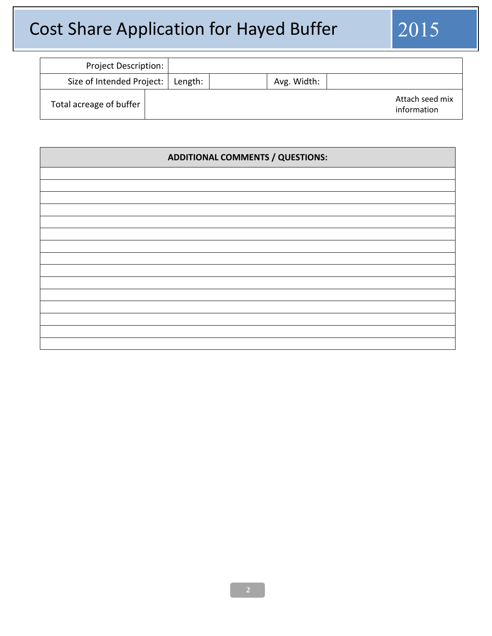# Cost Share Application for Hayed Buffer 2015

| <b>Project Description:</b> |         |             |                                |
|-----------------------------|---------|-------------|--------------------------------|
| Size of Intended Project:   | Length: | Avg. Width: |                                |
| Total acreage of buffer     |         |             | Attach seed mix<br>information |

| <b>ADDITIONAL COMMENTS / QUESTIONS:</b> |  |  |  |
|-----------------------------------------|--|--|--|
|                                         |  |  |  |
|                                         |  |  |  |
|                                         |  |  |  |
|                                         |  |  |  |
|                                         |  |  |  |
|                                         |  |  |  |
|                                         |  |  |  |
|                                         |  |  |  |
|                                         |  |  |  |
|                                         |  |  |  |
|                                         |  |  |  |
|                                         |  |  |  |
|                                         |  |  |  |
|                                         |  |  |  |
|                                         |  |  |  |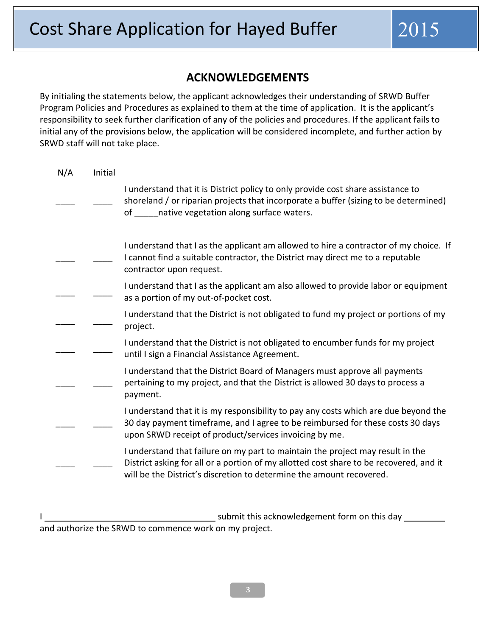### **ACKNOWLEDGEMENTS**

By initialing the statements below, the applicant acknowledges their understanding of SRWD Buffer Program Policies and Procedures as explained to them at the time of application. It is the applicant's responsibility to seek further clarification of any of the policies and procedures. If the applicant fails to initial any of the provisions below, the application will be considered incomplete, and further action by SRWD staff will not take place.

| N/A | Initial |                                                                                                                                                                                                                                                  |
|-----|---------|--------------------------------------------------------------------------------------------------------------------------------------------------------------------------------------------------------------------------------------------------|
|     |         | I understand that it is District policy to only provide cost share assistance to<br>shoreland / or riparian projects that incorporate a buffer (sizing to be determined)<br>native vegetation along surface waters.<br>of the control            |
|     |         | I understand that I as the applicant am allowed to hire a contractor of my choice. If<br>I cannot find a suitable contractor, the District may direct me to a reputable<br>contractor upon request.                                              |
|     |         | I understand that I as the applicant am also allowed to provide labor or equipment<br>as a portion of my out-of-pocket cost.                                                                                                                     |
|     |         | I understand that the District is not obligated to fund my project or portions of my<br>project.                                                                                                                                                 |
|     |         | I understand that the District is not obligated to encumber funds for my project<br>until I sign a Financial Assistance Agreement.                                                                                                               |
|     |         | I understand that the District Board of Managers must approve all payments<br>pertaining to my project, and that the District is allowed 30 days to process a<br>payment.                                                                        |
|     |         | I understand that it is my responsibility to pay any costs which are due beyond the<br>30 day payment timeframe, and I agree to be reimbursed for these costs 30 days<br>upon SRWD receipt of product/services invoicing by me.                  |
|     |         | I understand that failure on my part to maintain the project may result in the<br>District asking for all or a portion of my allotted cost share to be recovered, and it<br>will be the District's discretion to determine the amount recovered. |
|     |         |                                                                                                                                                                                                                                                  |

submit this acknowledgement form on this day \_\_\_\_\_\_\_ and authorize the SRWD to commence work on my project.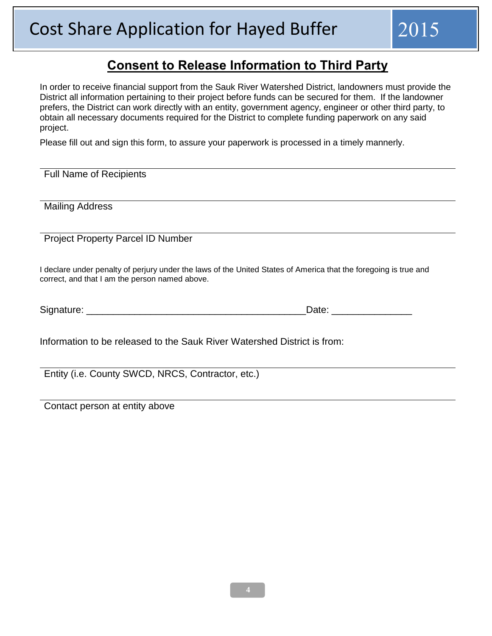## **Consent to Release Information to Third Party**

In order to receive financial support from the Sauk River Watershed District, landowners must provide the District all information pertaining to their project before funds can be secured for them. If the landowner prefers, the District can work directly with an entity, government agency, engineer or other third party, to obtain all necessary documents required for the District to complete funding paperwork on any said project.

Please fill out and sign this form, to assure your paperwork is processed in a timely mannerly.

Full Name of Recipients

Mailing Address

Project Property Parcel ID Number

I declare under penalty of perjury under the laws of the United States of America that the foregoing is true and correct, and that I am the person named above.

| Signature: |  |
|------------|--|
|------------|--|

Information to be released to the Sauk River Watershed District is from:

Entity (i.e. County SWCD, NRCS, Contractor, etc.)

Contact person at entity above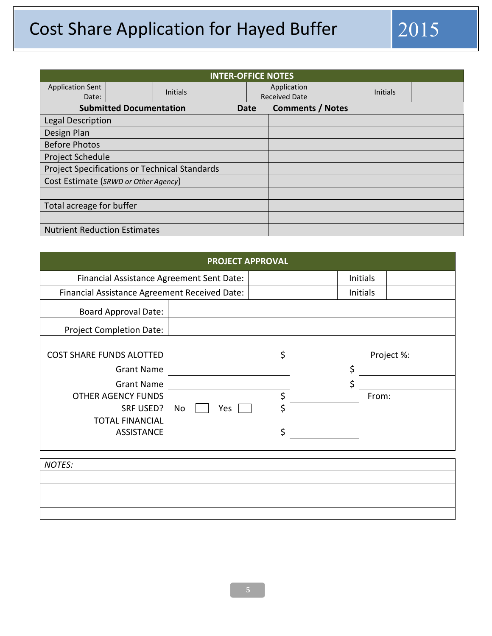## Cost Share Application for Hayed Buffer 2015

| <b>INTER-OFFICE NOTES</b>                     |                                |                 |  |  |                      |                         |  |                 |  |
|-----------------------------------------------|--------------------------------|-----------------|--|--|----------------------|-------------------------|--|-----------------|--|
| <b>Application Sent</b>                       |                                | <b>Initials</b> |  |  |                      | Application             |  | <b>Initials</b> |  |
| Date:                                         |                                |                 |  |  | <b>Received Date</b> |                         |  |                 |  |
|                                               | <b>Submitted Documentation</b> |                 |  |  | Date                 | <b>Comments / Notes</b> |  |                 |  |
| Legal Description                             |                                |                 |  |  |                      |                         |  |                 |  |
| Design Plan                                   |                                |                 |  |  |                      |                         |  |                 |  |
| <b>Before Photos</b>                          |                                |                 |  |  |                      |                         |  |                 |  |
| <b>Project Schedule</b>                       |                                |                 |  |  |                      |                         |  |                 |  |
| Project Specifications or Technical Standards |                                |                 |  |  |                      |                         |  |                 |  |
| Cost Estimate (SRWD or Other Agency)          |                                |                 |  |  |                      |                         |  |                 |  |
|                                               |                                |                 |  |  |                      |                         |  |                 |  |
| Total acreage for buffer                      |                                |                 |  |  |                      |                         |  |                 |  |
|                                               |                                |                 |  |  |                      |                         |  |                 |  |
| <b>Nutrient Reduction Estimates</b>           |                                |                 |  |  |                      |                         |  |                 |  |

| <b>PROJECT APPROVAL</b>                                                                                                                       |           |         |                   |            |  |  |
|-----------------------------------------------------------------------------------------------------------------------------------------------|-----------|---------|-------------------|------------|--|--|
| Financial Assistance Agreement Sent Date:                                                                                                     |           |         | Initials          |            |  |  |
| Financial Assistance Agreement Received Date:                                                                                                 |           |         | Initials          |            |  |  |
| <b>Board Approval Date:</b>                                                                                                                   |           |         |                   |            |  |  |
| <b>Project Completion Date:</b>                                                                                                               |           |         |                   |            |  |  |
| <b>COST SHARE FUNDS ALOTTED</b><br><b>Grant Name</b><br><b>Grant Name</b><br><b>OTHER AGENCY FUNDS</b><br>SRF USED?<br><b>TOTAL FINANCIAL</b> | No<br>Yes | Ś<br>\$ | \$<br>\$<br>From: | Project %: |  |  |
| <b>ASSISTANCE</b>                                                                                                                             |           |         |                   |            |  |  |

*NOTES:*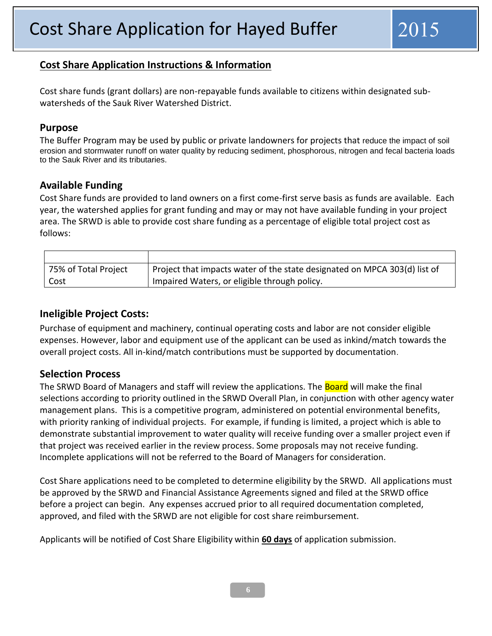#### **Cost Share Application Instructions & Information**

Cost share funds (grant dollars) are non-repayable funds available to citizens within designated subwatersheds of the Sauk River Watershed District.

#### **Purpose**

The Buffer Program may be used by public or private landowners for projects that reduce the impact of soil erosion and stormwater runoff on water quality by reducing sediment, phosphorous, nitrogen and fecal bacteria loads to the Sauk River and its tributaries.

#### **Available Funding**

Cost Share funds are provided to land owners on a first come-first serve basis as funds are available. Each year, the watershed applies for grant funding and may or may not have available funding in your project area. The SRWD is able to provide cost share funding as a percentage of eligible total project cost as follows:

| 75% of Total Project | Project that impacts water of the state designated on MPCA 303(d) list of |
|----------------------|---------------------------------------------------------------------------|
| Cost                 | Impaired Waters, or eligible through policy.                              |

#### **Ineligible Project Costs:**

Purchase of equipment and machinery, continual operating costs and labor are not consider eligible expenses. However, labor and equipment use of the applicant can be used as inkind/match towards the overall project costs. All in-kind/match contributions must be supported by documentation.

#### **Selection Process**

The SRWD Board of Managers and staff will review the applications. The **Board** will make the final selections according to priority outlined in the SRWD Overall Plan, in conjunction with other agency water management plans. This is a competitive program, administered on potential environmental benefits, with priority ranking of individual projects. For example, if funding is limited, a project which is able to demonstrate substantial improvement to water quality will receive funding over a smaller project even if that project was received earlier in the review process. Some proposals may not receive funding. Incomplete applications will not be referred to the Board of Managers for consideration.

Cost Share applications need to be completed to determine eligibility by the SRWD. All applications must be approved by the SRWD and Financial Assistance Agreements signed and filed at the SRWD office before a project can begin. Any expenses accrued prior to all required documentation completed, approved, and filed with the SRWD are not eligible for cost share reimbursement.

Applicants will be notified of Cost Share Eligibility within **60 days** of application submission.